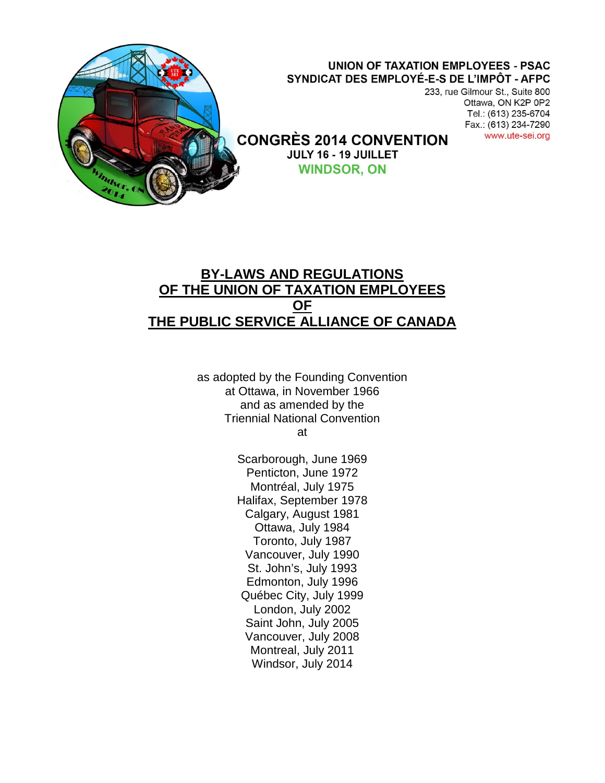

## **BY-LAWS AND REGULATIONS OF THE UNION OF TAXATION EMPLOYEES OF THE PUBLIC SERVICE ALLIANCE OF CANADA**

as adopted by the Founding Convention at Ottawa, in November 1966 and as amended by the Triennial National Convention at

> Scarborough, June 1969 Penticton, June 1972 Montréal, July 1975 Halifax, September 1978 Calgary, August 1981 Ottawa, July 1984 Toronto, July 1987 Vancouver, July 1990 St. John's, July 1993 Edmonton, July 1996 Québec City, July 1999 London, July 2002 Saint John, July 2005 Vancouver, July 2008 Montreal, July 2011 Windsor, July 2014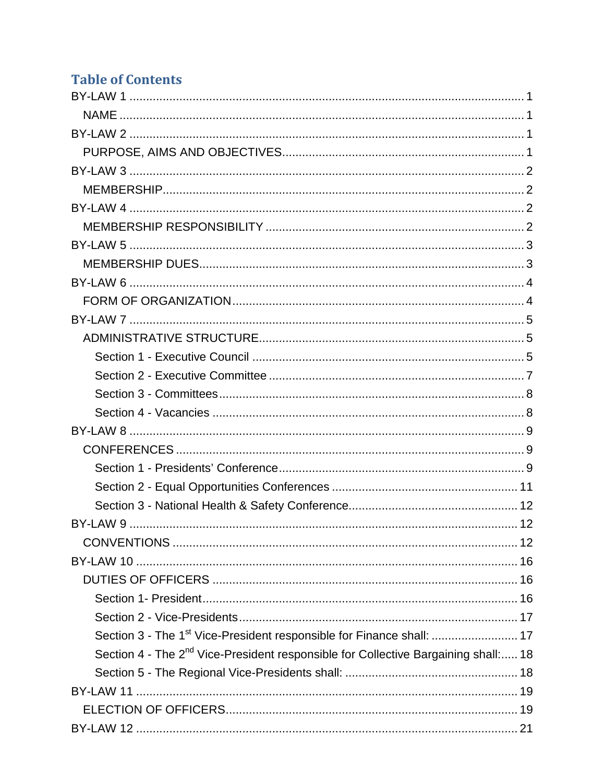# **Table of Contents**

| Section 3 - The 1 <sup>st</sup> Vice-President responsible for Finance shall:  17              |
|------------------------------------------------------------------------------------------------|
| Section 4 - The 2 <sup>nd</sup> Vice-President responsible for Collective Bargaining shall: 18 |
|                                                                                                |
|                                                                                                |
|                                                                                                |
|                                                                                                |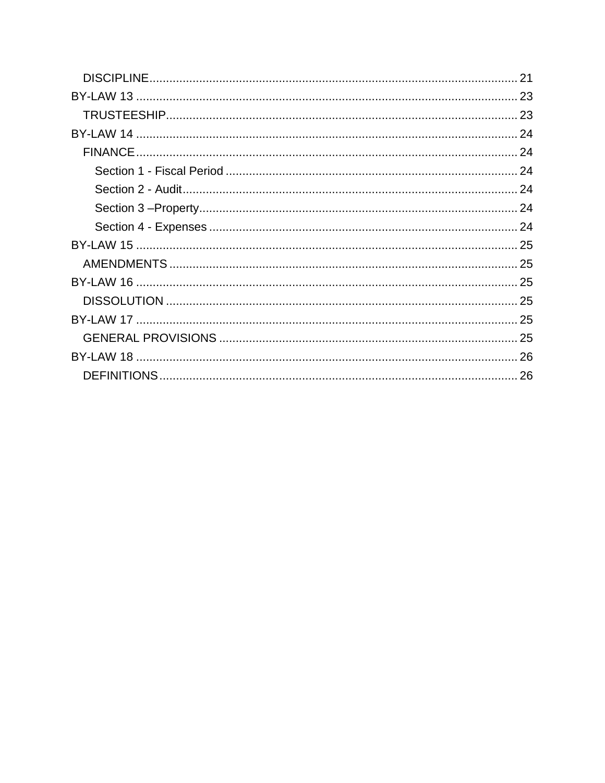| 21 |
|----|
|    |
|    |
|    |
|    |
|    |
|    |
|    |
|    |
|    |
|    |
|    |
|    |
|    |
|    |
|    |
|    |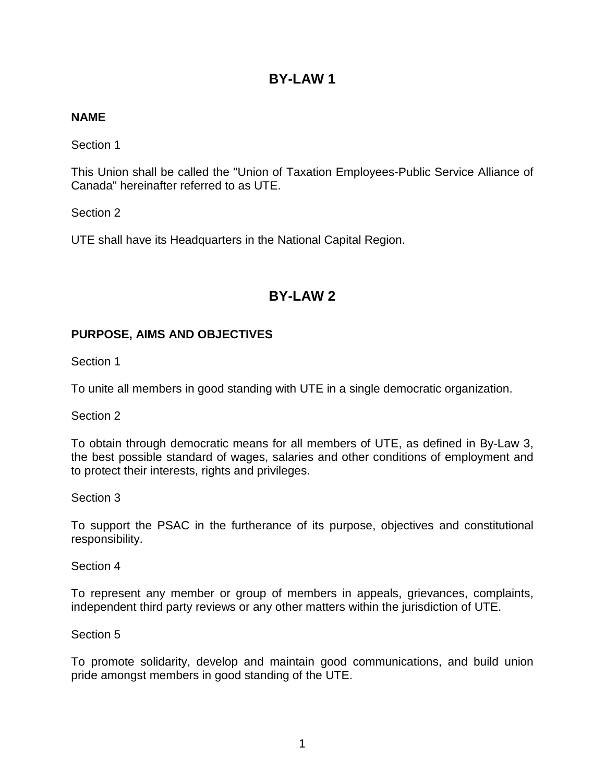### <span id="page-3-1"></span><span id="page-3-0"></span>**NAME**

Section 1

This Union shall be called the "Union of Taxation Employees-Public Service Alliance of Canada" hereinafter referred to as UTE.

Section 2

UTE shall have its Headquarters in the National Capital Region.

### **BY-LAW 2**

### <span id="page-3-3"></span><span id="page-3-2"></span>**PURPOSE, AIMS AND OBJECTIVES**

Section 1

To unite all members in good standing with UTE in a single democratic organization.

Section 2

To obtain through democratic means for all members of UTE, as defined in By-Law 3, the best possible standard of wages, salaries and other conditions of employment and to protect their interests, rights and privileges.

Section 3

To support the PSAC in the furtherance of its purpose, objectives and constitutional responsibility.

Section 4

To represent any member or group of members in appeals, grievances, complaints, independent third party reviews or any other matters within the jurisdiction of UTE.

#### Section 5

To promote solidarity, develop and maintain good communications, and build union pride amongst members in good standing of the UTE.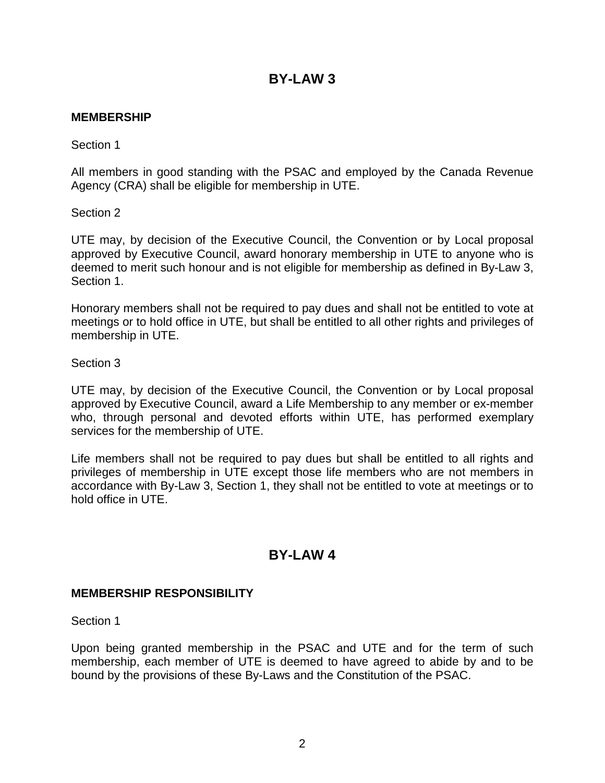### <span id="page-4-1"></span><span id="page-4-0"></span>**MEMBERSHIP**

Section 1

All members in good standing with the PSAC and employed by the Canada Revenue Agency (CRA) shall be eligible for membership in UTE.

Section 2

UTE may, by decision of the Executive Council, the Convention or by Local proposal approved by Executive Council, award honorary membership in UTE to anyone who is deemed to merit such honour and is not eligible for membership as defined in By-Law 3, Section 1.

Honorary members shall not be required to pay dues and shall not be entitled to vote at meetings or to hold office in UTE, but shall be entitled to all other rights and privileges of membership in UTE.

Section 3

UTE may, by decision of the Executive Council, the Convention or by Local proposal approved by Executive Council, award a Life Membership to any member or ex-member who, through personal and devoted efforts within UTE, has performed exemplary services for the membership of UTE.

Life members shall not be required to pay dues but shall be entitled to all rights and privileges of membership in UTE except those life members who are not members in accordance with By-Law 3, Section 1, they shall not be entitled to vote at meetings or to hold office in UTE.

### **BY-LAW 4**

### <span id="page-4-3"></span><span id="page-4-2"></span>**MEMBERSHIP RESPONSIBILITY**

Section 1

Upon being granted membership in the PSAC and UTE and for the term of such membership, each member of UTE is deemed to have agreed to abide by and to be bound by the provisions of these By-Laws and the Constitution of the PSAC.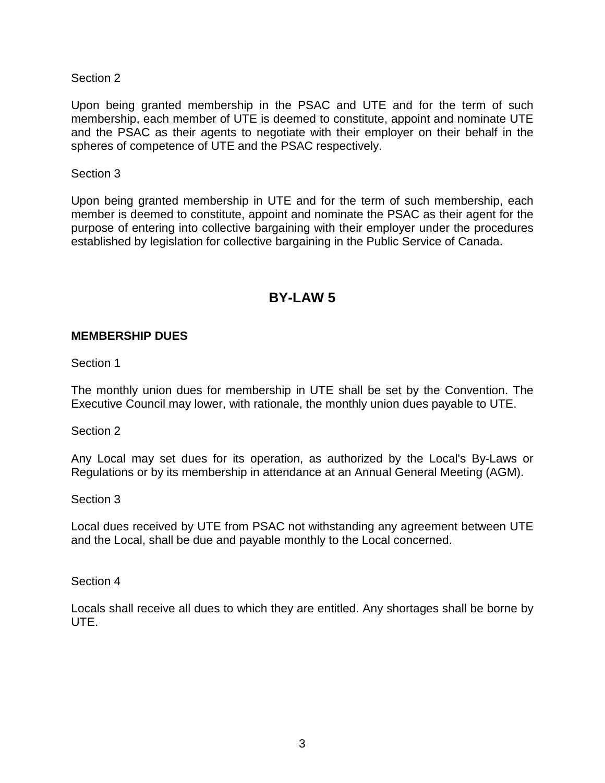Upon being granted membership in the PSAC and UTE and for the term of such membership, each member of UTE is deemed to constitute, appoint and nominate UTE and the PSAC as their agents to negotiate with their employer on their behalf in the spheres of competence of UTE and the PSAC respectively.

#### Section 3

Upon being granted membership in UTE and for the term of such membership, each member is deemed to constitute, appoint and nominate the PSAC as their agent for the purpose of entering into collective bargaining with their employer under the procedures established by legislation for collective bargaining in the Public Service of Canada.

## **BY-LAW 5**

#### <span id="page-5-1"></span><span id="page-5-0"></span>**MEMBERSHIP DUES**

Section 1

The monthly union dues for membership in UTE shall be set by the Convention. The Executive Council may lower, with rationale, the monthly union dues payable to UTE.

Section 2

Any Local may set dues for its operation, as authorized by the Local's By-Laws or Regulations or by its membership in attendance at an Annual General Meeting (AGM).

Section 3

Local dues received by UTE from PSAC not withstanding any agreement between UTE and the Local, shall be due and payable monthly to the Local concerned.

Section 4

<span id="page-5-2"></span>Locals shall receive all dues to which they are entitled. Any shortages shall be borne by UTE.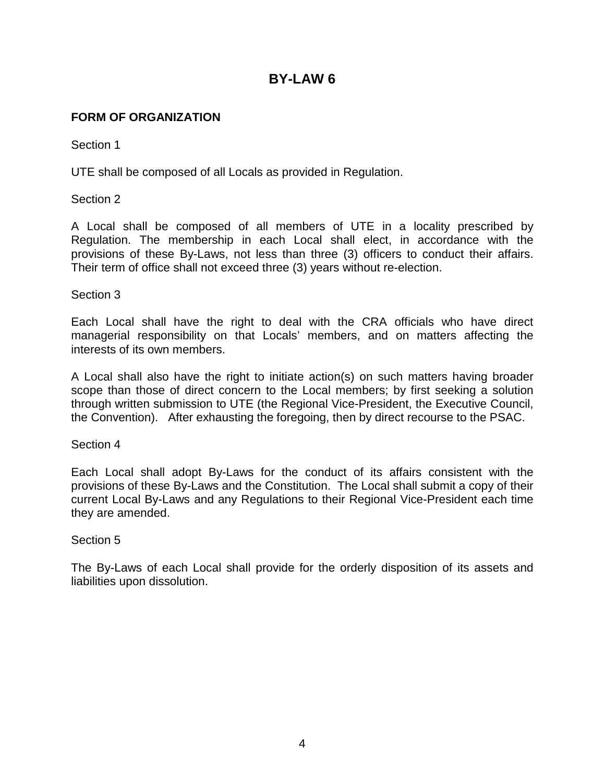### <span id="page-6-0"></span>**FORM OF ORGANIZATION**

Section 1

UTE shall be composed of all Locals as provided in Regulation.

Section 2

A Local shall be composed of all members of UTE in a locality prescribed by Regulation. The membership in each Local shall elect, in accordance with the provisions of these By-Laws, not less than three (3) officers to conduct their affairs. Their term of office shall not exceed three (3) years without re-election.

#### Section 3

Each Local shall have the right to deal with the CRA officials who have direct managerial responsibility on that Locals' members, and on matters affecting the interests of its own members.

A Local shall also have the right to initiate action(s) on such matters having broader scope than those of direct concern to the Local members; by first seeking a solution through written submission to UTE (the Regional Vice-President, the Executive Council, the Convention). After exhausting the foregoing, then by direct recourse to the PSAC.

Section 4

Each Local shall adopt By-Laws for the conduct of its affairs consistent with the provisions of these By-Laws and the Constitution. The Local shall submit a copy of their current Local By-Laws and any Regulations to their Regional Vice-President each time they are amended.

#### Section 5

The By-Laws of each Local shall provide for the orderly disposition of its assets and liabilities upon dissolution.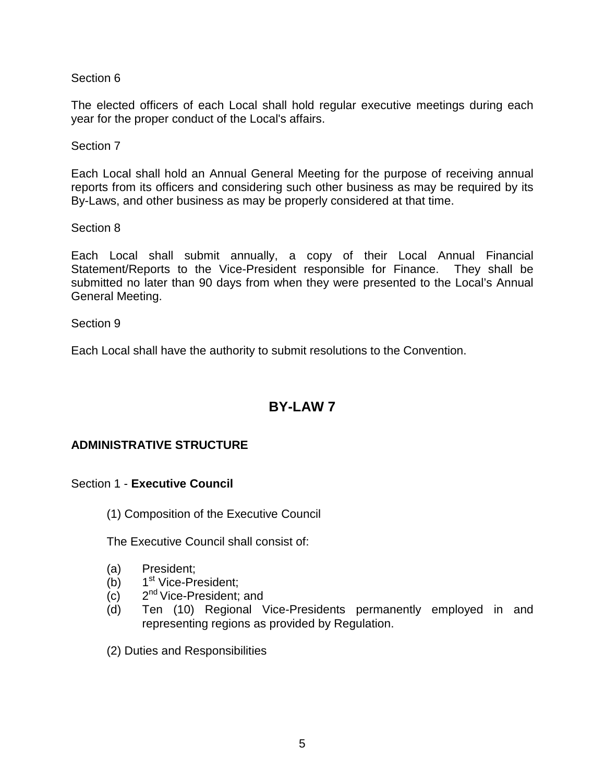The elected officers of each Local shall hold regular executive meetings during each year for the proper conduct of the Local's affairs.

Section 7

Each Local shall hold an Annual General Meeting for the purpose of receiving annual reports from its officers and considering such other business as may be required by its By-Laws, and other business as may be properly considered at that time.

Section 8

Each Local shall submit annually, a copy of their Local Annual Financial Statement/Reports to the Vice-President responsible for Finance. They shall be submitted no later than 90 days from when they were presented to the Local's Annual General Meeting.

Section 9

Each Local shall have the authority to submit resolutions to the Convention.

## **BY-LAW 7**

### <span id="page-7-1"></span><span id="page-7-0"></span>**ADMINISTRATIVE STRUCTURE**

#### <span id="page-7-2"></span>Section 1 - **Executive Council**

(1) Composition of the Executive Council

The Executive Council shall consist of:

- (a) President;
- (b)  $1^{\text{st}}$  Vice-President;
- (c) 2nd Vice-President; and
- (d) Ten (10) Regional Vice-Presidents permanently employed in and representing regions as provided by Regulation.
- (2) Duties and Responsibilities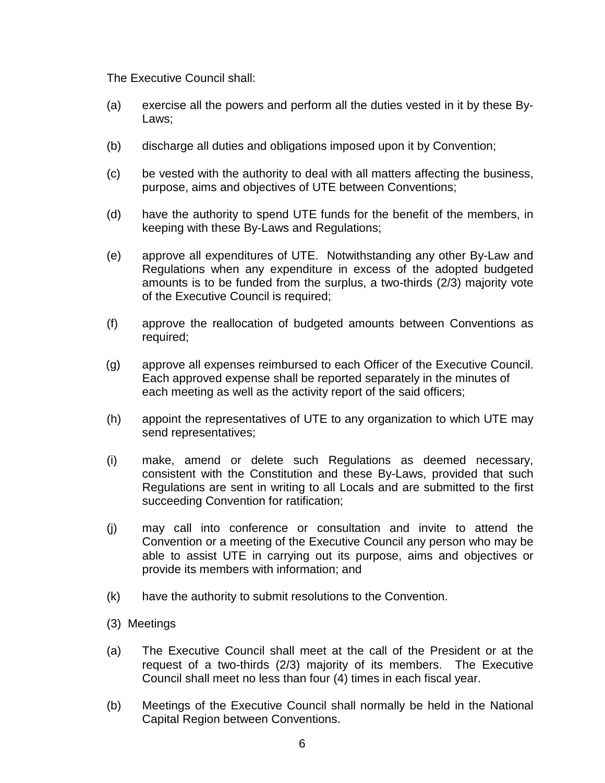The Executive Council shall:

- (a) exercise all the powers and perform all the duties vested in it by these By-Laws;
- (b) discharge all duties and obligations imposed upon it by Convention;
- (c) be vested with the authority to deal with all matters affecting the business, purpose, aims and objectives of UTE between Conventions;
- (d) have the authority to spend UTE funds for the benefit of the members, in keeping with these By-Laws and Regulations;
- (e) approve all expenditures of UTE. Notwithstanding any other By-Law and Regulations when any expenditure in excess of the adopted budgeted amounts is to be funded from the surplus, a two-thirds (2/3) majority vote of the Executive Council is required;
- (f) approve the reallocation of budgeted amounts between Conventions as required;
- (g) approve all expenses reimbursed to each Officer of the Executive Council. Each approved expense shall be reported separately in the minutes of each meeting as well as the activity report of the said officers;
- (h) appoint the representatives of UTE to any organization to which UTE may send representatives;
- (i) make, amend or delete such Regulations as deemed necessary, consistent with the Constitution and these By-Laws, provided that such Regulations are sent in writing to all Locals and are submitted to the first succeeding Convention for ratification;
- (j) may call into conference or consultation and invite to attend the Convention or a meeting of the Executive Council any person who may be able to assist UTE in carrying out its purpose, aims and objectives or provide its members with information; and
- (k) have the authority to submit resolutions to the Convention.
- (3) Meetings
- (a) The Executive Council shall meet at the call of the President or at the request of a two-thirds (2/3) majority of its members. The Executive Council shall meet no less than four (4) times in each fiscal year.
- (b) Meetings of the Executive Council shall normally be held in the National Capital Region between Conventions.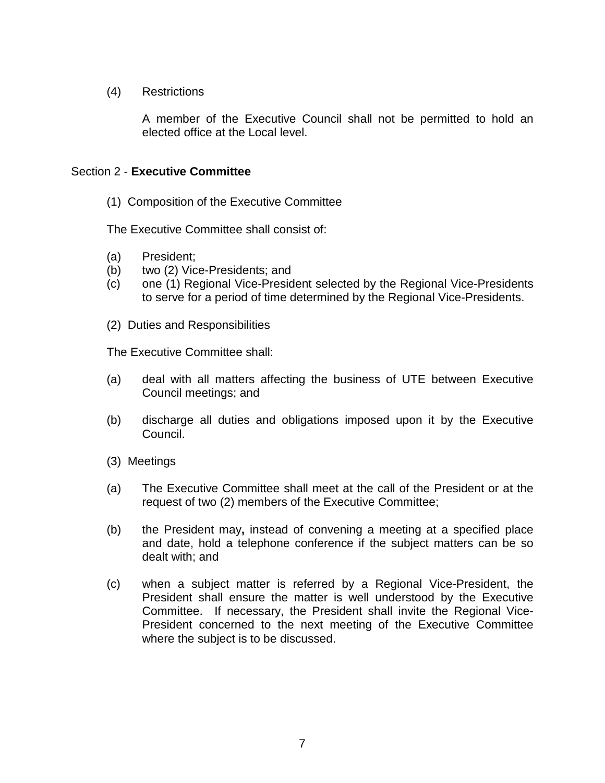(4) Restrictions

A member of the Executive Council shall not be permitted to hold an elected office at the Local level.

### <span id="page-9-0"></span>Section 2 - **Executive Committee**

(1) Composition of the Executive Committee

The Executive Committee shall consist of:

- (a) President;
- (b) two (2) Vice-Presidents; and
- (c) one (1) Regional Vice-President selected by the Regional Vice-Presidents to serve for a period of time determined by the Regional Vice-Presidents.
- (2) Duties and Responsibilities

The Executive Committee shall:

- (a) deal with all matters affecting the business of UTE between Executive Council meetings; and
- (b) discharge all duties and obligations imposed upon it by the Executive Council.
- (3) Meetings
- (a) The Executive Committee shall meet at the call of the President or at the request of two (2) members of the Executive Committee;
- (b) the President may**,** instead of convening a meeting at a specified place and date, hold a telephone conference if the subject matters can be so dealt with; and
- <span id="page-9-1"></span>(c) when a subject matter is referred by a Regional Vice-President, the President shall ensure the matter is well understood by the Executive Committee. If necessary, the President shall invite the Regional Vice-President concerned to the next meeting of the Executive Committee where the subject is to be discussed.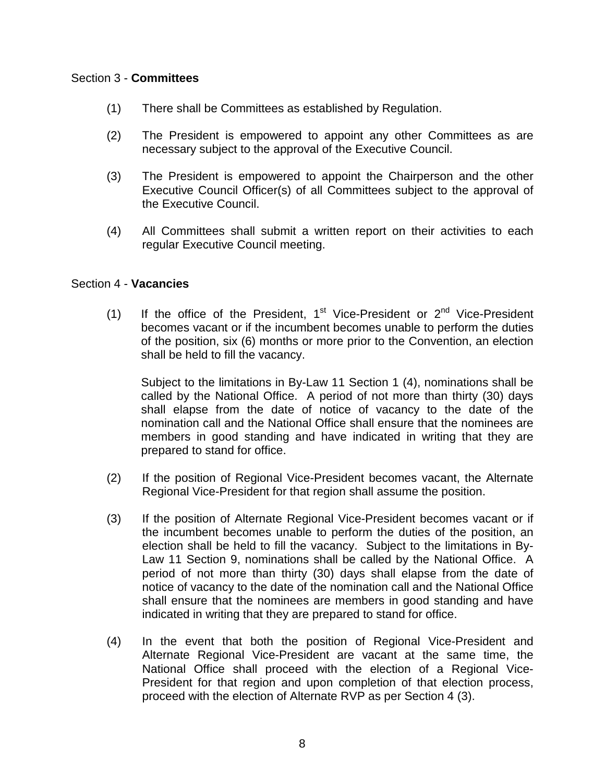### Section 3 - **Committees**

- (1) There shall be Committees as established by Regulation.
- (2) The President is empowered to appoint any other Committees as are necessary subject to the approval of the Executive Council.
- (3) The President is empowered to appoint the Chairperson and the other Executive Council Officer(s) of all Committees subject to the approval of the Executive Council.
- (4) All Committees shall submit a written report on their activities to each regular Executive Council meeting.

#### <span id="page-10-0"></span>Section 4 - **Vacancies**

(1) If the office of the President,  $1^{st}$  Vice-President or  $2^{nd}$  Vice-President becomes vacant or if the incumbent becomes unable to perform the duties of the position, six (6) months or more prior to the Convention, an election shall be held to fill the vacancy.

Subject to the limitations in By-Law 11 Section 1 (4), nominations shall be called by the National Office. A period of not more than thirty (30) days shall elapse from the date of notice of vacancy to the date of the nomination call and the National Office shall ensure that the nominees are members in good standing and have indicated in writing that they are prepared to stand for office.

- (2) If the position of Regional Vice-President becomes vacant, the Alternate Regional Vice-President for that region shall assume the position.
- (3) If the position of Alternate Regional Vice-President becomes vacant or if the incumbent becomes unable to perform the duties of the position, an election shall be held to fill the vacancy. Subject to the limitations in By-Law 11 Section 9, nominations shall be called by the National Office. A period of not more than thirty (30) days shall elapse from the date of notice of vacancy to the date of the nomination call and the National Office shall ensure that the nominees are members in good standing and have indicated in writing that they are prepared to stand for office.
- (4) In the event that both the position of Regional Vice-President and Alternate Regional Vice-President are vacant at the same time, the National Office shall proceed with the election of a Regional Vice-President for that region and upon completion of that election process, proceed with the election of Alternate RVP as per Section 4 (3).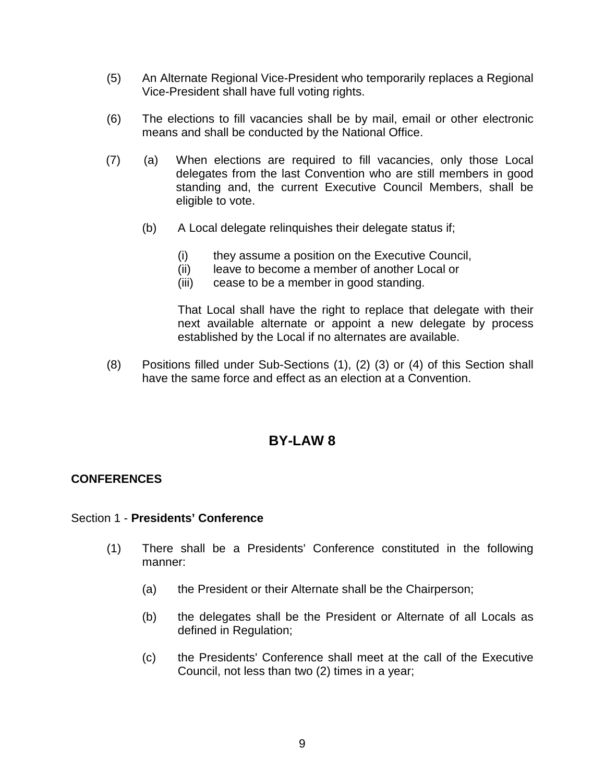- (5) An Alternate Regional Vice-President who temporarily replaces a Regional Vice-President shall have full voting rights.
- (6) The elections to fill vacancies shall be by mail, email or other electronic means and shall be conducted by the National Office.
- (7) (a) When elections are required to fill vacancies, only those Local delegates from the last Convention who are still members in good standing and, the current Executive Council Members, shall be eligible to vote.
	- (b) A Local delegate relinquishes their delegate status if;
		- (i) they assume a position on the Executive Council,
		- (ii) leave to become a member of another Local or
		- (iii) cease to be a member in good standing.

That Local shall have the right to replace that delegate with their next available alternate or appoint a new delegate by process established by the Local if no alternates are available.

(8) Positions filled under Sub-Sections (1), (2) (3) or (4) of this Section shall have the same force and effect as an election at a Convention.

### **BY-LAW 8**

#### <span id="page-11-1"></span><span id="page-11-0"></span>**CONFERENCES**

#### <span id="page-11-2"></span>Section 1 - **Presidents' Conference**

- (1) There shall be a Presidents' Conference constituted in the following manner:
	- (a) the President or their Alternate shall be the Chairperson;
	- (b) the delegates shall be the President or Alternate of all Locals as defined in Regulation;
	- (c) the Presidents' Conference shall meet at the call of the Executive Council, not less than two (2) times in a year;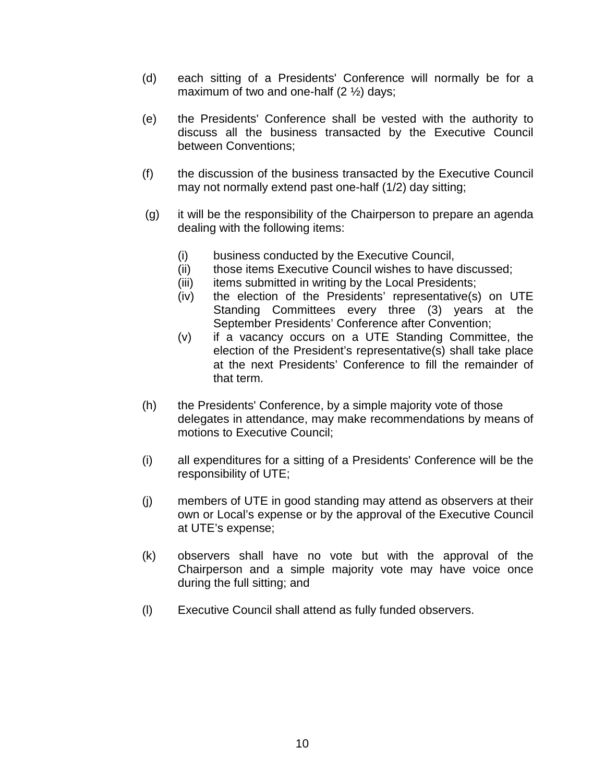- (d) each sitting of a Presidents' Conference will normally be for a maximum of two and one-half  $(2 \frac{1}{2})$  days;
- (e) the Presidents' Conference shall be vested with the authority to discuss all the business transacted by the Executive Council between Conventions;
- (f) the discussion of the business transacted by the Executive Council may not normally extend past one-half (1/2) day sitting;
- (g) it will be the responsibility of the Chairperson to prepare an agenda dealing with the following items:
	- (i) business conducted by the Executive Council,
	- (ii) those items Executive Council wishes to have discussed:
	- (iii) items submitted in writing by the Local Presidents;
	- (iv) the election of the Presidents' representative(s) on UTE Standing Committees every three (3) years at the September Presidents' Conference after Convention;
	- (v) if a vacancy occurs on a UTE Standing Committee, the election of the President's representative(s) shall take place at the next Presidents' Conference to fill the remainder of that term.
- (h) the Presidents' Conference, by a simple majority vote of those delegates in attendance, may make recommendations by means of motions to Executive Council;
- (i) all expenditures for a sitting of a Presidents' Conference will be the responsibility of UTE;
- (j) members of UTE in good standing may attend as observers at their own or Local's expense or by the approval of the Executive Council at UTE's expense;
- (k) observers shall have no vote but with the approval of the Chairperson and a simple majority vote may have voice once during the full sitting; and
- (l) Executive Council shall attend as fully funded observers.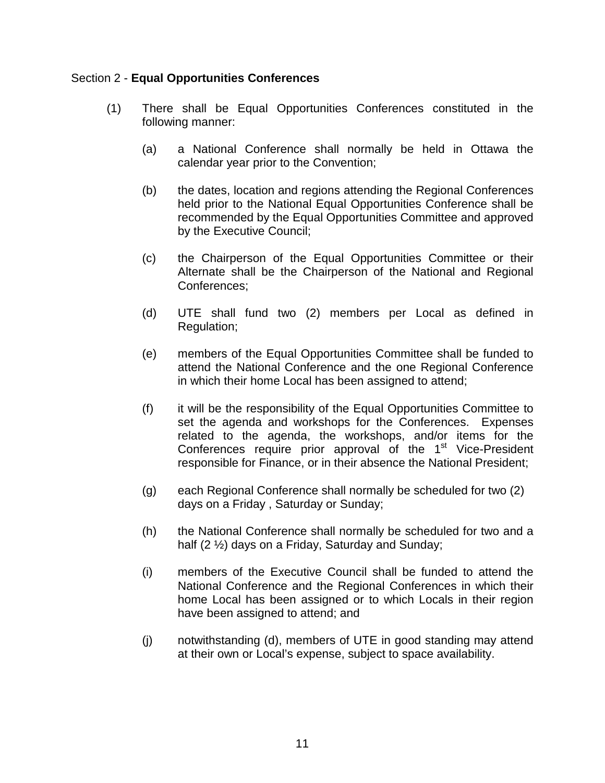### <span id="page-13-0"></span>Section 2 - **Equal Opportunities Conferences**

- (1) There shall be Equal Opportunities Conferences constituted in the following manner:
	- (a) a National Conference shall normally be held in Ottawa the calendar year prior to the Convention;
	- (b) the dates, location and regions attending the Regional Conferences held prior to the National Equal Opportunities Conference shall be recommended by the Equal Opportunities Committee and approved by the Executive Council;
	- (c) the Chairperson of the Equal Opportunities Committee or their Alternate shall be the Chairperson of the National and Regional Conferences;
	- (d) UTE shall fund two (2) members per Local as defined in Regulation;
	- (e) members of the Equal Opportunities Committee shall be funded to attend the National Conference and the one Regional Conference in which their home Local has been assigned to attend;
	- (f) it will be the responsibility of the Equal Opportunities Committee to set the agenda and workshops for the Conferences. Expenses related to the agenda, the workshops, and/or items for the Conferences require prior approval of the 1<sup>st</sup> Vice-President responsible for Finance, or in their absence the National President;
	- (g) each Regional Conference shall normally be scheduled for two (2) days on a Friday , Saturday or Sunday;
	- (h) the National Conference shall normally be scheduled for two and a half (2 ½) days on a Friday, Saturday and Sunday;
	- (i) members of the Executive Council shall be funded to attend the National Conference and the Regional Conferences in which their home Local has been assigned or to which Locals in their region have been assigned to attend; and
	- (j) notwithstanding (d), members of UTE in good standing may attend at their own or Local's expense, subject to space availability.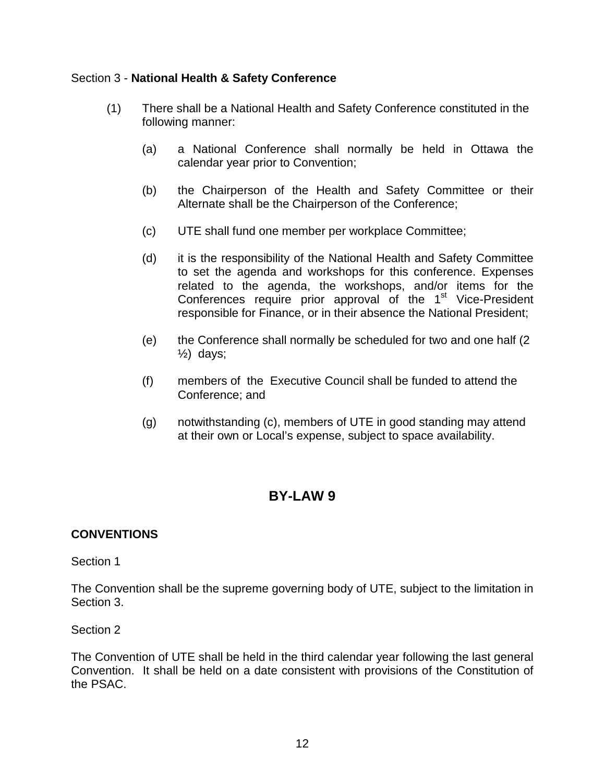### <span id="page-14-0"></span>Section 3 - **National Health & Safety Conference**

- (1) There shall be a National Health and Safety Conference constituted in the following manner:
	- (a) a National Conference shall normally be held in Ottawa the calendar year prior to Convention;
	- (b) the Chairperson of the Health and Safety Committee or their Alternate shall be the Chairperson of the Conference;
	- (c) UTE shall fund one member per workplace Committee;
	- (d) it is the responsibility of the National Health and Safety Committee to set the agenda and workshops for this conference. Expenses related to the agenda, the workshops, and/or items for the Conferences require prior approval of the 1<sup>st</sup> Vice-President responsible for Finance, or in their absence the National President;
	- (e) the Conference shall normally be scheduled for two and one half (2  $\frac{1}{2}$  days;
	- (f) members of the Executive Council shall be funded to attend the Conference; and
	- (g) notwithstanding (c), members of UTE in good standing may attend at their own or Local's expense, subject to space availability.

## **BY-LAW 9**

### <span id="page-14-2"></span><span id="page-14-1"></span>**CONVENTIONS**

Section 1

The Convention shall be the supreme governing body of UTE, subject to the limitation in Section 3.

Section 2

The Convention of UTE shall be held in the third calendar year following the last general Convention. It shall be held on a date consistent with provisions of the Constitution of the PSAC.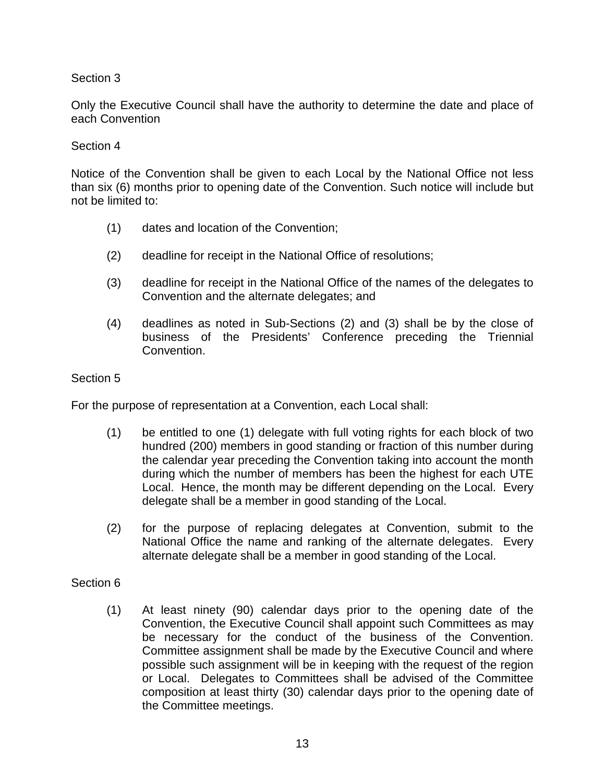Only the Executive Council shall have the authority to determine the date and place of each Convention

### Section 4

Notice of the Convention shall be given to each Local by the National Office not less than six (6) months prior to opening date of the Convention. Such notice will include but not be limited to:

- (1) dates and location of the Convention;
- (2) deadline for receipt in the National Office of resolutions;
- (3) deadline for receipt in the National Office of the names of the delegates to Convention and the alternate delegates; and
- (4) deadlines as noted in Sub-Sections (2) and (3) shall be by the close of business of the Presidents' Conference preceding the Triennial Convention.

#### Section 5

For the purpose of representation at a Convention, each Local shall:

- (1) be entitled to one (1) delegate with full voting rights for each block of two hundred (200) members in good standing or fraction of this number during the calendar year preceding the Convention taking into account the month during which the number of members has been the highest for each UTE Local. Hence, the month may be different depending on the Local. Every delegate shall be a member in good standing of the Local.
- (2) for the purpose of replacing delegates at Convention, submit to the National Office the name and ranking of the alternate delegates. Every alternate delegate shall be a member in good standing of the Local.

#### Section 6

(1) At least ninety (90) calendar days prior to the opening date of the Convention, the Executive Council shall appoint such Committees as may be necessary for the conduct of the business of the Convention. Committee assignment shall be made by the Executive Council and where possible such assignment will be in keeping with the request of the region or Local. Delegates to Committees shall be advised of the Committee composition at least thirty (30) calendar days prior to the opening date of the Committee meetings.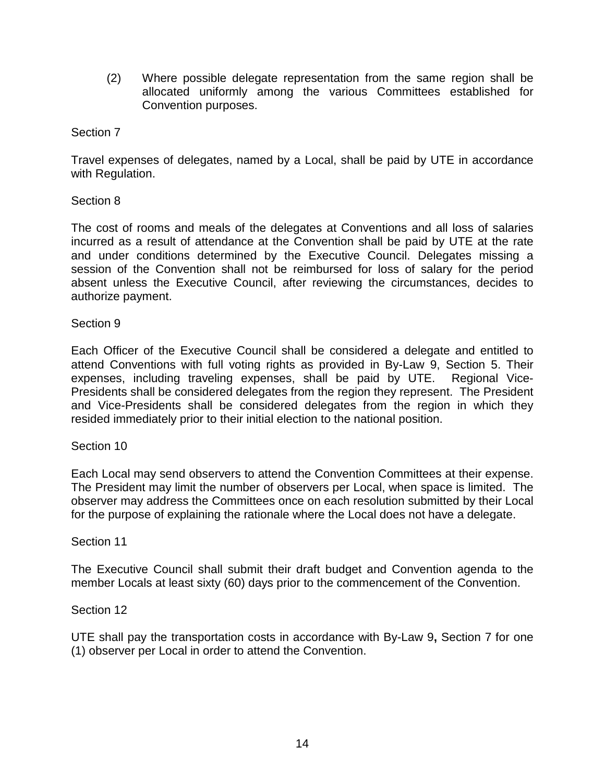(2) Where possible delegate representation from the same region shall be allocated uniformly among the various Committees established for Convention purposes.

### Section 7

Travel expenses of delegates, named by a Local, shall be paid by UTE in accordance with Regulation.

### Section 8

The cost of rooms and meals of the delegates at Conventions and all loss of salaries incurred as a result of attendance at the Convention shall be paid by UTE at the rate and under conditions determined by the Executive Council. Delegates missing a session of the Convention shall not be reimbursed for loss of salary for the period absent unless the Executive Council, after reviewing the circumstances, decides to authorize payment.

### Section 9

Each Officer of the Executive Council shall be considered a delegate and entitled to attend Conventions with full voting rights as provided in By-Law 9, Section 5. Their expenses, including traveling expenses, shall be paid by UTE. Regional Vice-Presidents shall be considered delegates from the region they represent. The President and Vice-Presidents shall be considered delegates from the region in which they resided immediately prior to their initial election to the national position.

### Section 10

Each Local may send observers to attend the Convention Committees at their expense. The President may limit the number of observers per Local, when space is limited. The observer may address the Committees once on each resolution submitted by their Local for the purpose of explaining the rationale where the Local does not have a delegate.

### Section 11

The Executive Council shall submit their draft budget and Convention agenda to the member Locals at least sixty (60) days prior to the commencement of the Convention.

### Section 12

UTE shall pay the transportation costs in accordance with By-Law 9**,** Section 7 for one (1) observer per Local in order to attend the Convention.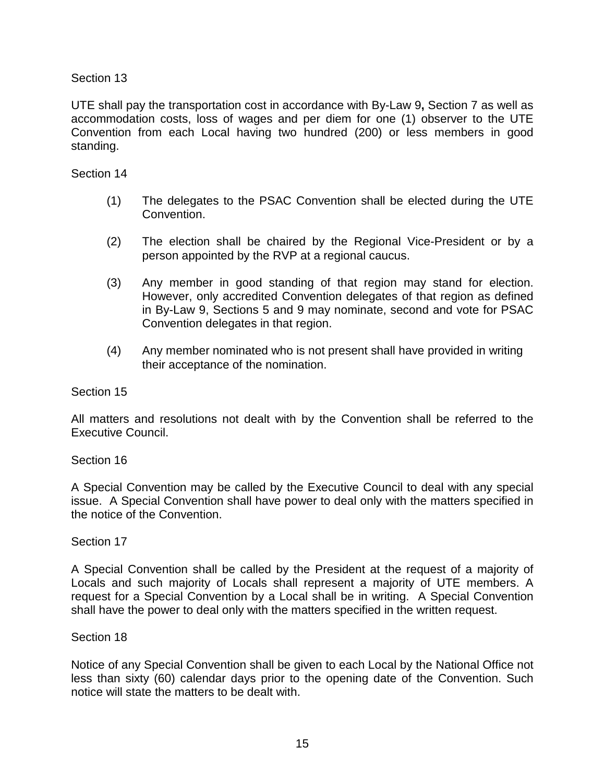UTE shall pay the transportation cost in accordance with By-Law 9**,** Section 7 as well as accommodation costs, loss of wages and per diem for one (1) observer to the UTE Convention from each Local having two hundred (200) or less members in good standing.

### Section 14

- (1) The delegates to the PSAC Convention shall be elected during the UTE Convention.
- (2) The election shall be chaired by the Regional Vice-President or by a person appointed by the RVP at a regional caucus.
- (3) Any member in good standing of that region may stand for election. However, only accredited Convention delegates of that region as defined in By-Law 9, Sections 5 and 9 may nominate, second and vote for PSAC Convention delegates in that region.
- (4) Any member nominated who is not present shall have provided in writing their acceptance of the nomination.

### Section 15

All matters and resolutions not dealt with by the Convention shall be referred to the Executive Council.

### Section 16

A Special Convention may be called by the Executive Council to deal with any special issue. A Special Convention shall have power to deal only with the matters specified in the notice of the Convention.

### Section 17

A Special Convention shall be called by the President at the request of a majority of Locals and such majority of Locals shall represent a majority of UTE members. A request for a Special Convention by a Local shall be in writing. A Special Convention shall have the power to deal only with the matters specified in the written request.

### Section 18

Notice of any Special Convention shall be given to each Local by the National Office not less than sixty (60) calendar days prior to the opening date of the Convention. Such notice will state the matters to be dealt with.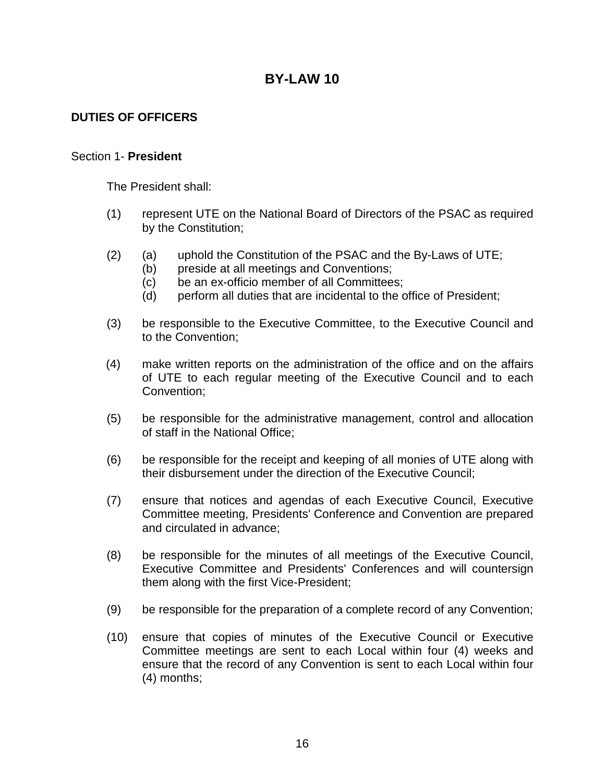### <span id="page-18-1"></span><span id="page-18-0"></span>**DUTIES OF OFFICERS**

#### <span id="page-18-2"></span>Section 1- **President**

The President shall:

- (1) represent UTE on the National Board of Directors of the PSAC as required by the Constitution;
- (2) (a) uphold the Constitution of the PSAC and the By-Laws of UTE;
	- (b) preside at all meetings and Conventions;
	- (c) be an ex-officio member of all Committees;
	- (d) perform all duties that are incidental to the office of President;
- (3) be responsible to the Executive Committee, to the Executive Council and to the Convention;
- (4) make written reports on the administration of the office and on the affairs of UTE to each regular meeting of the Executive Council and to each Convention;
- (5) be responsible for the administrative management, control and allocation of staff in the National Office;
- (6) be responsible for the receipt and keeping of all monies of UTE along with their disbursement under the direction of the Executive Council;
- (7) ensure that notices and agendas of each Executive Council, Executive Committee meeting, Presidents' Conference and Convention are prepared and circulated in advance;
- (8) be responsible for the minutes of all meetings of the Executive Council, Executive Committee and Presidents' Conferences and will countersign them along with the first Vice-President;
- (9) be responsible for the preparation of a complete record of any Convention;
- (10) ensure that copies of minutes of the Executive Council or Executive Committee meetings are sent to each Local within four (4) weeks and ensure that the record of any Convention is sent to each Local within four (4) months;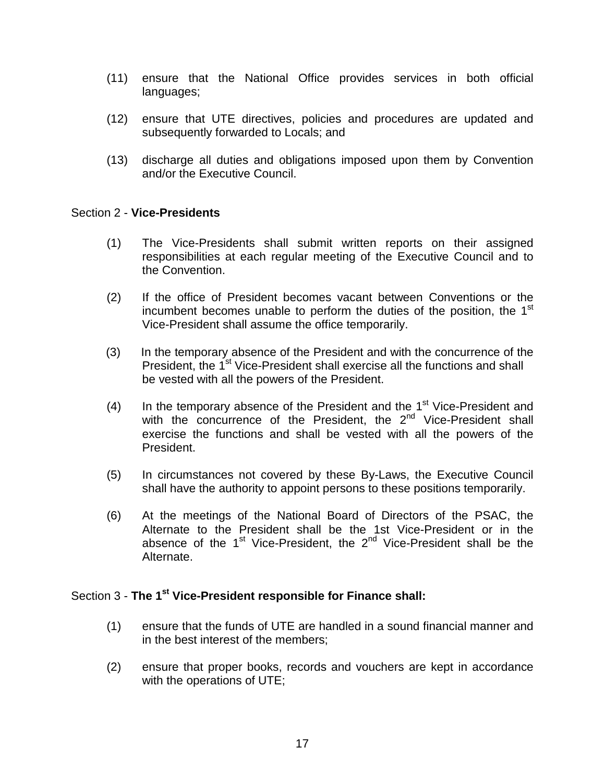- (11) ensure that the National Office provides services in both official languages;
- (12) ensure that UTE directives, policies and procedures are updated and subsequently forwarded to Locals; and
- (13) discharge all duties and obligations imposed upon them by Convention and/or the Executive Council.

#### <span id="page-19-0"></span>Section 2 - **Vice-Presidents**

- (1) The Vice-Presidents shall submit written reports on their assigned responsibilities at each regular meeting of the Executive Council and to the Convention.
- (2) If the office of President becomes vacant between Conventions or the incumbent becomes unable to perform the duties of the position, the  $1<sup>st</sup>$ Vice-President shall assume the office temporarily.
- (3) In the temporary absence of the President and with the concurrence of the President, the 1<sup>st</sup> Vice-President shall exercise all the functions and shall be vested with all the powers of the President.
- (4) In the temporary absence of the President and the  $1<sup>st</sup>$  Vice-President and with the concurrence of the President, the 2<sup>nd</sup> Vice-President shall exercise the functions and shall be vested with all the powers of the President.
- (5) In circumstances not covered by these By-Laws, the Executive Council shall have the authority to appoint persons to these positions temporarily.
- (6) At the meetings of the National Board of Directors of the PSAC, the Alternate to the President shall be the 1st Vice-President or in the absence of the  $1<sup>st</sup>$  Vice-President, the  $2<sup>nd</sup>$  Vice-President shall be the Alternate.

#### <span id="page-19-1"></span>Section 3 - **The 1st Vice-President responsible for Finance shall:**

- (1) ensure that the funds of UTE are handled in a sound financial manner and in the best interest of the members;
- (2) ensure that proper books, records and vouchers are kept in accordance with the operations of UTE;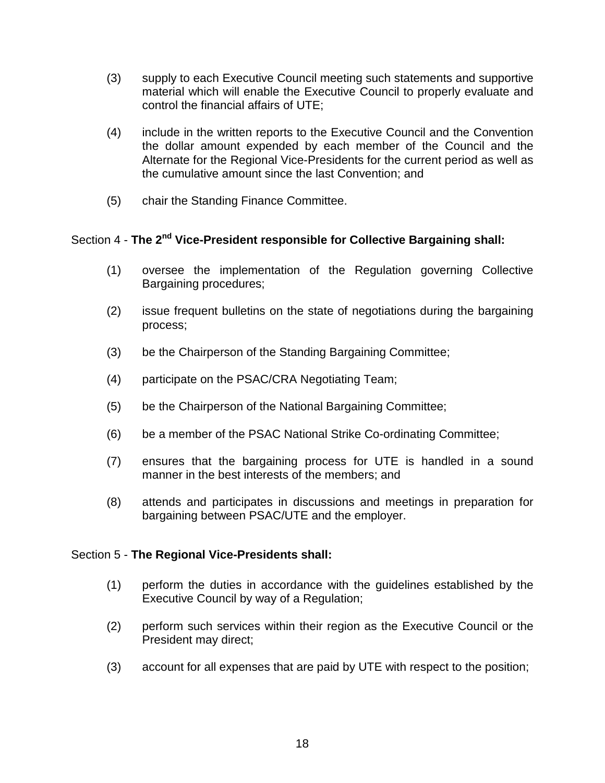- (3) supply to each Executive Council meeting such statements and supportive material which will enable the Executive Council to properly evaluate and control the financial affairs of UTE;
- (4) include in the written reports to the Executive Council and the Convention the dollar amount expended by each member of the Council and the Alternate for the Regional Vice-Presidents for the current period as well as the cumulative amount since the last Convention; and
- (5) chair the Standing Finance Committee.

### <span id="page-20-0"></span>Section 4 - **The 2nd Vice-President responsible for Collective Bargaining shall:**

- (1) oversee the implementation of the Regulation governing Collective Bargaining procedures;
- (2) issue frequent bulletins on the state of negotiations during the bargaining process;
- (3) be the Chairperson of the Standing Bargaining Committee;
- (4) participate on the PSAC/CRA Negotiating Team;
- (5) be the Chairperson of the National Bargaining Committee;
- (6) be a member of the PSAC National Strike Co-ordinating Committee;
- (7) ensures that the bargaining process for UTE is handled in a sound manner in the best interests of the members; and
- (8) attends and participates in discussions and meetings in preparation for bargaining between PSAC/UTE and the employer.

### <span id="page-20-1"></span>Section 5 - **The Regional Vice-Presidents shall:**

- (1) perform the duties in accordance with the guidelines established by the Executive Council by way of a Regulation;
- (2) perform such services within their region as the Executive Council or the President may direct;
- (3) account for all expenses that are paid by UTE with respect to the position;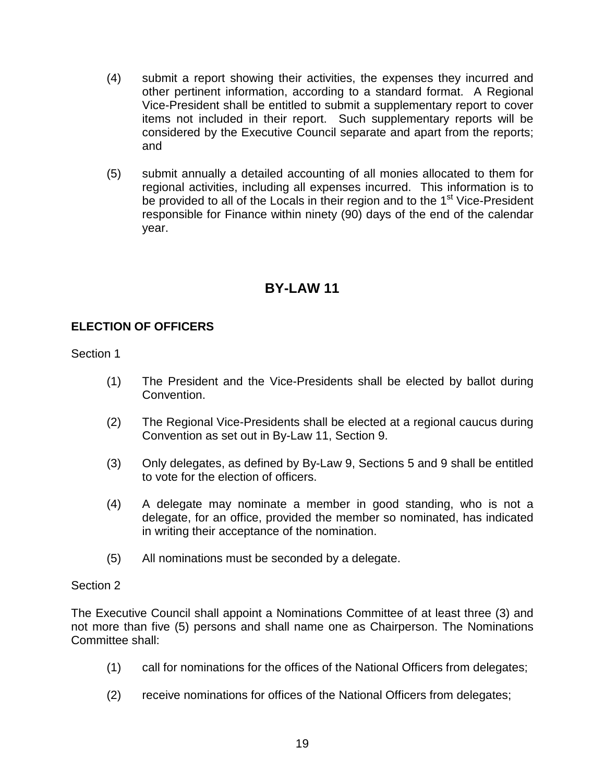- (4) submit a report showing their activities, the expenses they incurred and other pertinent information, according to a standard format. A Regional Vice-President shall be entitled to submit a supplementary report to cover items not included in their report. Such supplementary reports will be considered by the Executive Council separate and apart from the reports; and
- (5) submit annually a detailed accounting of all monies allocated to them for regional activities, including all expenses incurred. This information is to be provided to all of the Locals in their region and to the 1<sup>st</sup> Vice-President responsible for Finance within ninety (90) days of the end of the calendar year.

### <span id="page-21-1"></span><span id="page-21-0"></span>**ELECTION OF OFFICERS**

Section 1

- (1) The President and the Vice-Presidents shall be elected by ballot during Convention.
- (2) The Regional Vice-Presidents shall be elected at a regional caucus during Convention as set out in By-Law 11, Section 9.
- (3) Only delegates, as defined by By-Law 9, Sections 5 and 9 shall be entitled to vote for the election of officers.
- (4) A delegate may nominate a member in good standing, who is not a delegate, for an office, provided the member so nominated, has indicated in writing their acceptance of the nomination.
- (5) All nominations must be seconded by a delegate.

### Section 2

The Executive Council shall appoint a Nominations Committee of at least three (3) and not more than five (5) persons and shall name one as Chairperson. The Nominations Committee shall:

- (1) call for nominations for the offices of the National Officers from delegates;
- (2) receive nominations for offices of the National Officers from delegates;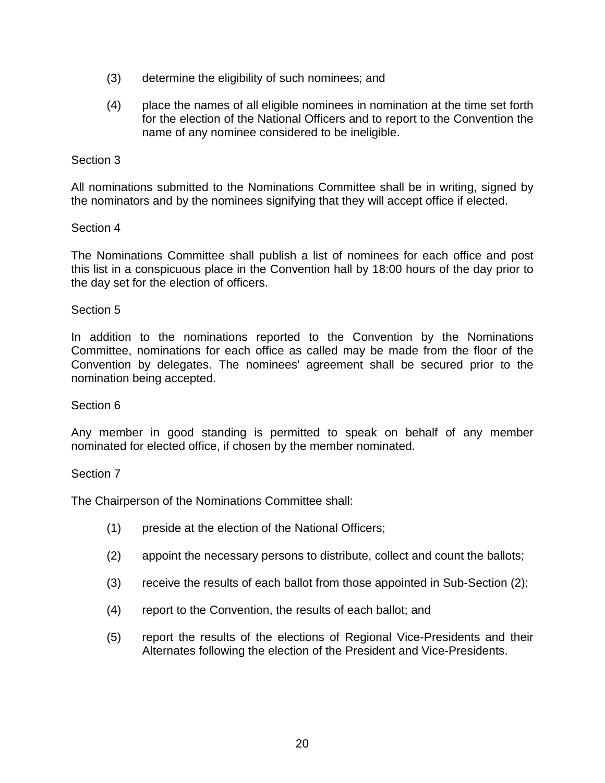- (3) determine the eligibility of such nominees; and
- (4) place the names of all eligible nominees in nomination at the time set forth for the election of the National Officers and to report to the Convention the name of any nominee considered to be ineligible.

All nominations submitted to the Nominations Committee shall be in writing, signed by the nominators and by the nominees signifying that they will accept office if elected.

### Section 4

The Nominations Committee shall publish a list of nominees for each office and post this list in a conspicuous place in the Convention hall by 18:00 hours of the day prior to the day set for the election of officers.

### Section 5

In addition to the nominations reported to the Convention by the Nominations Committee, nominations for each office as called may be made from the floor of the Convention by delegates. The nominees' agreement shall be secured prior to the nomination being accepted.

### Section 6

Any member in good standing is permitted to speak on behalf of any member nominated for elected office, if chosen by the member nominated.

### Section 7

The Chairperson of the Nominations Committee shall:

- (1) preside at the election of the National Officers;
- (2) appoint the necessary persons to distribute, collect and count the ballots;
- (3) receive the results of each ballot from those appointed in Sub-Section (2);
- (4) report to the Convention, the results of each ballot; and
- (5) report the results of the elections of Regional Vice-Presidents and their Alternates following the election of the President and Vice-Presidents.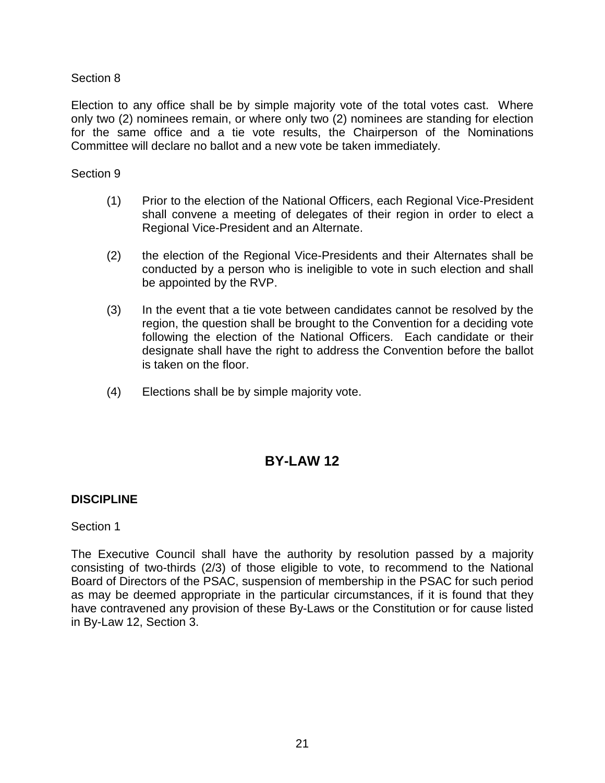Election to any office shall be by simple majority vote of the total votes cast. Where only two (2) nominees remain, or where only two (2) nominees are standing for election for the same office and a tie vote results, the Chairperson of the Nominations Committee will declare no ballot and a new vote be taken immediately.

#### Section 9

- (1) Prior to the election of the National Officers, each Regional Vice-President shall convene a meeting of delegates of their region in order to elect a Regional Vice-President and an Alternate.
- (2) the election of the Regional Vice-Presidents and their Alternates shall be conducted by a person who is ineligible to vote in such election and shall be appointed by the RVP.
- (3) In the event that a tie vote between candidates cannot be resolved by the region, the question shall be brought to the Convention for a deciding vote following the election of the National Officers. Each candidate or their designate shall have the right to address the Convention before the ballot is taken on the floor.
- (4) Elections shall be by simple majority vote.

## **BY-LAW 12**

### <span id="page-23-1"></span><span id="page-23-0"></span>**DISCIPLINE**

### Section 1

The Executive Council shall have the authority by resolution passed by a majority consisting of two-thirds (2/3) of those eligible to vote, to recommend to the National Board of Directors of the PSAC, suspension of membership in the PSAC for such period as may be deemed appropriate in the particular circumstances, if it is found that they have contravened any provision of these By-Laws or the Constitution or for cause listed in By-Law 12, Section 3.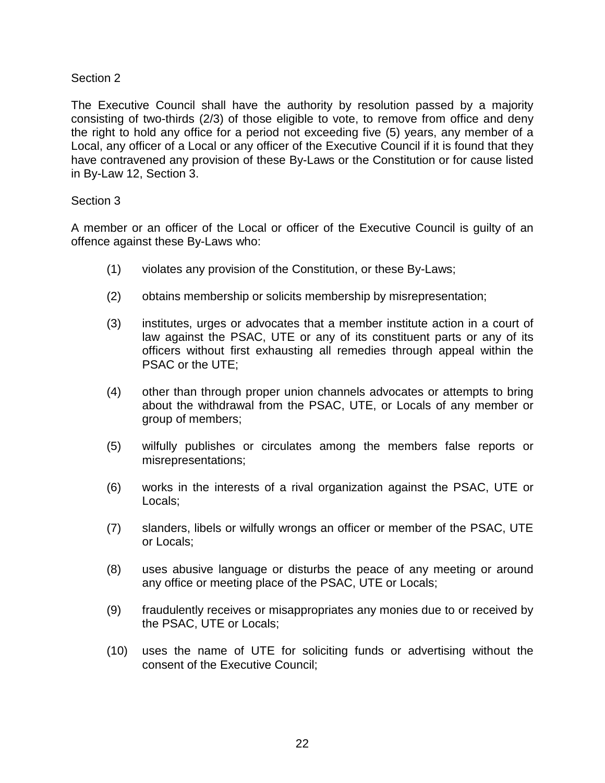The Executive Council shall have the authority by resolution passed by a majority consisting of two-thirds (2/3) of those eligible to vote, to remove from office and deny the right to hold any office for a period not exceeding five (5) years, any member of a Local, any officer of a Local or any officer of the Executive Council if it is found that they have contravened any provision of these By-Laws or the Constitution or for cause listed in By-Law 12, Section 3.

### Section 3

A member or an officer of the Local or officer of the Executive Council is guilty of an offence against these By-Laws who:

- (1) violates any provision of the Constitution, or these By-Laws;
- (2) obtains membership or solicits membership by misrepresentation;
- (3) institutes, urges or advocates that a member institute action in a court of law against the PSAC, UTE or any of its constituent parts or any of its officers without first exhausting all remedies through appeal within the PSAC or the UTE;
- (4) other than through proper union channels advocates or attempts to bring about the withdrawal from the PSAC, UTE, or Locals of any member or group of members;
- (5) wilfully publishes or circulates among the members false reports or misrepresentations;
- (6) works in the interests of a rival organization against the PSAC, UTE or Locals;
- (7) slanders, libels or wilfully wrongs an officer or member of the PSAC, UTE or Locals;
- (8) uses abusive language or disturbs the peace of any meeting or around any office or meeting place of the PSAC, UTE or Locals;
- (9) fraudulently receives or misappropriates any monies due to or received by the PSAC, UTE or Locals;
- (10) uses the name of UTE for soliciting funds or advertising without the consent of the Executive Council;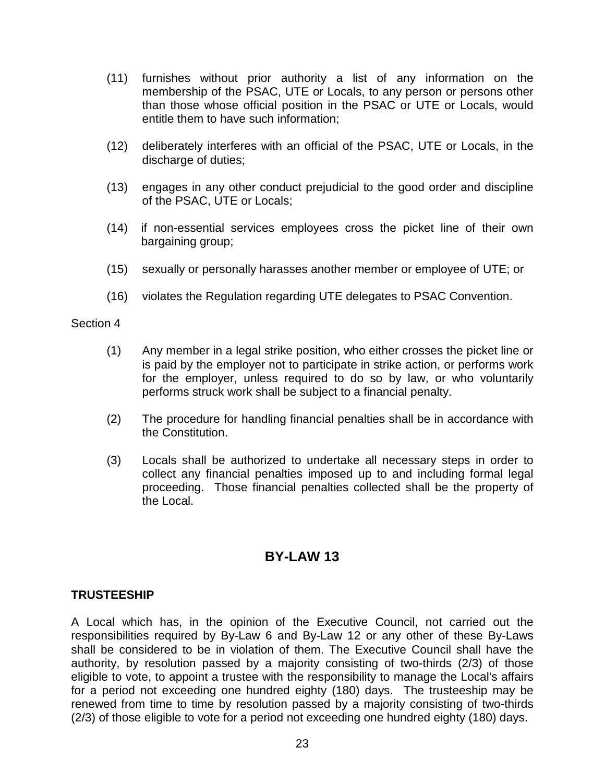- (11) furnishes without prior authority a list of any information on the membership of the PSAC, UTE or Locals, to any person or persons other than those whose official position in the PSAC or UTE or Locals, would entitle them to have such information;
- (12) deliberately interferes with an official of the PSAC, UTE or Locals, in the discharge of duties;
- (13) engages in any other conduct prejudicial to the good order and discipline of the PSAC, UTE or Locals;
- (14) if non-essential services employees cross the picket line of their own bargaining group;
- (15) sexually or personally harasses another member or employee of UTE; or
- (16) violates the Regulation regarding UTE delegates to PSAC Convention.

- (1) Any member in a legal strike position, who either crosses the picket line or is paid by the employer not to participate in strike action, or performs work for the employer, unless required to do so by law, or who voluntarily performs struck work shall be subject to a financial penalty.
- (2) The procedure for handling financial penalties shall be in accordance with the Constitution.
- (3) Locals shall be authorized to undertake all necessary steps in order to collect any financial penalties imposed up to and including formal legal proceeding. Those financial penalties collected shall be the property of the Local.

## **BY-LAW 13**

### <span id="page-25-1"></span><span id="page-25-0"></span>**TRUSTEESHIP**

A Local which has, in the opinion of the Executive Council, not carried out the responsibilities required by By-Law 6 and By-Law 12 or any other of these By-Laws shall be considered to be in violation of them. The Executive Council shall have the authority, by resolution passed by a majority consisting of two-thirds (2/3) of those eligible to vote, to appoint a trustee with the responsibility to manage the Local's affairs for a period not exceeding one hundred eighty (180) days. The trusteeship may be renewed from time to time by resolution passed by a majority consisting of two-thirds (2/3) of those eligible to vote for a period not exceeding one hundred eighty (180) days.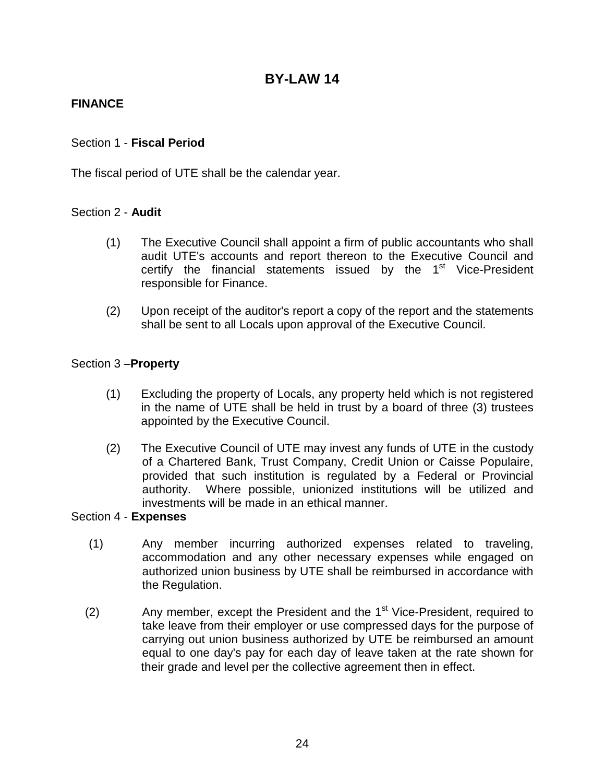### <span id="page-26-1"></span><span id="page-26-0"></span>**FINANCE**

### <span id="page-26-2"></span>Section 1 - **Fiscal Period**

The fiscal period of UTE shall be the calendar year.

### <span id="page-26-3"></span>Section 2 - **Audit**

- (1) The Executive Council shall appoint a firm of public accountants who shall audit UTE's accounts and report thereon to the Executive Council and certify the financial statements issued by the  $1<sup>st</sup>$  Vice-President responsible for Finance.
- (2) Upon receipt of the auditor's report a copy of the report and the statements shall be sent to all Locals upon approval of the Executive Council.

### <span id="page-26-4"></span>Section 3 –**Property**

- (1) Excluding the property of Locals, any property held which is not registered in the name of UTE shall be held in trust by a board of three (3) trustees appointed by the Executive Council.
- (2) The Executive Council of UTE may invest any funds of UTE in the custody of a Chartered Bank, Trust Company, Credit Union or Caisse Populaire, provided that such institution is regulated by a Federal or Provincial authority. Where possible, unionized institutions will be utilized and investments will be made in an ethical manner.

### <span id="page-26-5"></span>Section 4 - **Expenses**

- (1) Any member incurring authorized expenses related to traveling, accommodation and any other necessary expenses while engaged on authorized union business by UTE shall be reimbursed in accordance with the Regulation.
- (2) Any member, except the President and the  $1<sup>st</sup>$  Vice-President, required to take leave from their employer or use compressed days for the purpose of carrying out union business authorized by UTE be reimbursed an amount equal to one day's pay for each day of leave taken at the rate shown for their grade and level per the collective agreement then in effect.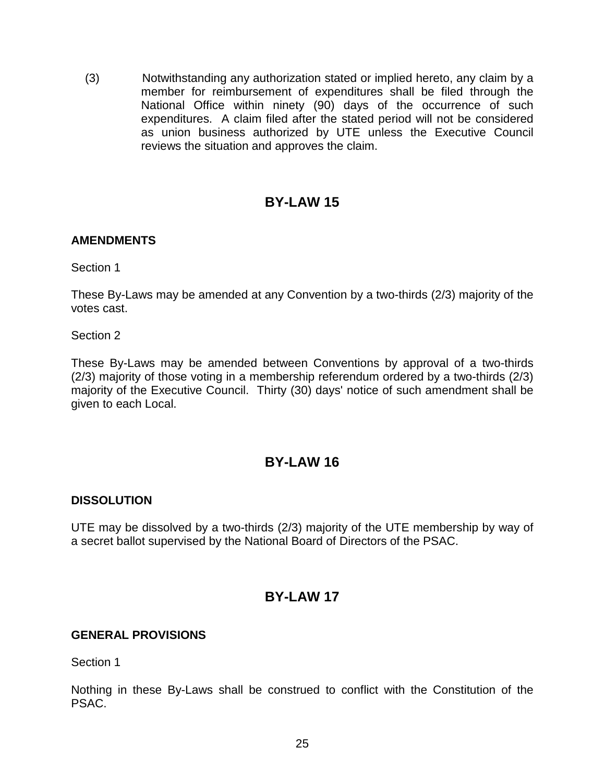(3) Notwithstanding any authorization stated or implied hereto, any claim by a member for reimbursement of expenditures shall be filed through the National Office within ninety (90) days of the occurrence of such expenditures. A claim filed after the stated period will not be considered as union business authorized by UTE unless the Executive Council reviews the situation and approves the claim.

## **BY-LAW 15**

### <span id="page-27-1"></span><span id="page-27-0"></span>**AMENDMENTS**

Section 1

These By-Laws may be amended at any Convention by a two-thirds (2/3) majority of the votes cast.

Section 2

These By-Laws may be amended between Conventions by approval of a two-thirds (2/3) majority of those voting in a membership referendum ordered by a two-thirds (2/3) majority of the Executive Council. Thirty (30) days' notice of such amendment shall be given to each Local.

## **BY-LAW 16**

### <span id="page-27-3"></span><span id="page-27-2"></span>**DISSOLUTION**

UTE may be dissolved by a two-thirds (2/3) majority of the UTE membership by way of a secret ballot supervised by the National Board of Directors of the PSAC.

## **BY-LAW 17**

### <span id="page-27-5"></span><span id="page-27-4"></span>**GENERAL PROVISIONS**

Section 1

Nothing in these By-Laws shall be construed to conflict with the Constitution of the PSAC.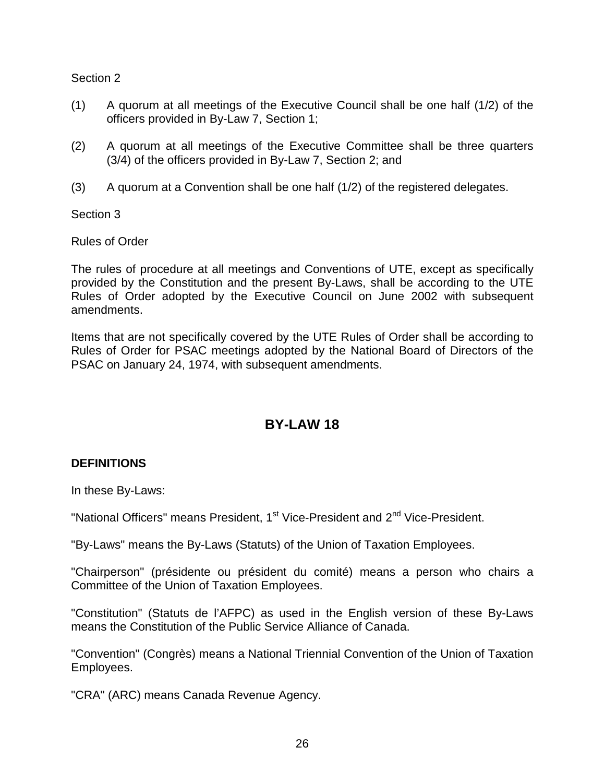- (1) A quorum at all meetings of the Executive Council shall be one half (1/2) of the officers provided in By-Law 7, Section 1;
- (2) A quorum at all meetings of the Executive Committee shall be three quarters (3/4) of the officers provided in By-Law 7, Section 2; and
- (3) A quorum at a Convention shall be one half (1/2) of the registered delegates.

Section 3

Rules of Order

The rules of procedure at all meetings and Conventions of UTE, except as specifically provided by the Constitution and the present By-Laws, shall be according to the UTE Rules of Order adopted by the Executive Council on June 2002 with subsequent amendments.

Items that are not specifically covered by the UTE Rules of Order shall be according to Rules of Order for PSAC meetings adopted by the National Board of Directors of the PSAC on January 24, 1974, with subsequent amendments.

## **BY-LAW 18**

### <span id="page-28-1"></span><span id="page-28-0"></span>**DEFINITIONS**

In these By-Laws:

"National Officers" means President, 1<sup>st</sup> Vice-President and 2<sup>nd</sup> Vice-President.

"By-Laws" means the By-Laws (Statuts) of the Union of Taxation Employees.

"Chairperson" (présidente ou président du comité) means a person who chairs a Committee of the Union of Taxation Employees.

"Constitution" (Statuts de l'AFPC) as used in the English version of these By-Laws means the Constitution of the Public Service Alliance of Canada.

"Convention" (Congrès) means a National Triennial Convention of the Union of Taxation Employees.

"CRA" (ARC) means Canada Revenue Agency.